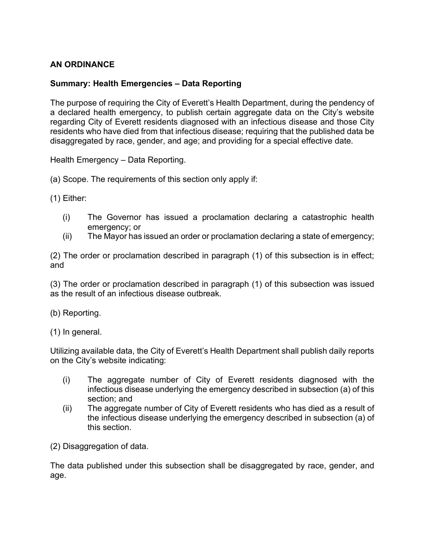## **AN ORDINANCE**

## **Summary: Health Emergencies – Data Reporting**

The purpose of requiring the City of Everett's Health Department, during the pendency of a declared health emergency, to publish certain aggregate data on the City's website regarding City of Everett residents diagnosed with an infectious disease and those City residents who have died from that infectious disease; requiring that the published data be disaggregated by race, gender, and age; and providing for a special effective date.

Health Emergency – Data Reporting.

(a) Scope. The requirements of this section only apply if:

(1) Either:

- (i) The Governor has issued a proclamation declaring a catastrophic health emergency; or
- (ii) The Mayor has issued an order or proclamation declaring a state of emergency;

(2) The order or proclamation described in paragraph (1) of this subsection is in effect; and

(3) The order or proclamation described in paragraph (1) of this subsection was issued as the result of an infectious disease outbreak.

(b) Reporting.

(1) In general.

Utilizing available data, the City of Everett's Health Department shall publish daily reports on the City's website indicating:

- (i) The aggregate number of City of Everett residents diagnosed with the infectious disease underlying the emergency described in subsection (a) of this section; and
- (ii) The aggregate number of City of Everett residents who has died as a result of the infectious disease underlying the emergency described in subsection (a) of this section.

(2) Disaggregation of data.

The data published under this subsection shall be disaggregated by race, gender, and age.